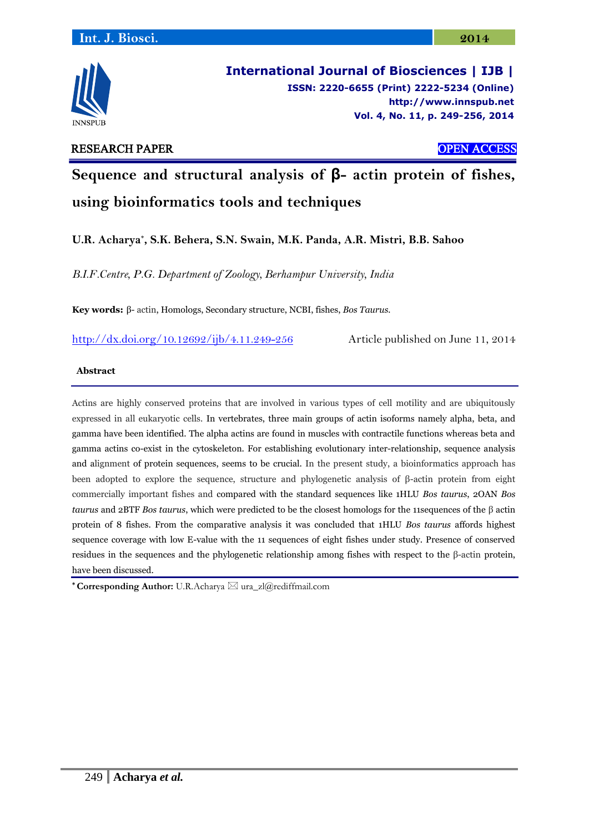

**International Journal of Biosciences | IJB | ISSN: 2220-6655 (Print) 2222-5234 (Online) [http://www.](http://www/)innspub.net Vol. 4, No. 11, p. 249-256, 2014**

# RESEARCH PAPER OPEN ACCESS

# **Sequence and structural analysis of β- actin protein of fishes, using bioinformatics tools and techniques**

**U.R. Acharya\* , S.K. Behera, S.N. Swain, M.K. Panda, A.R. Mistri, B.B. Sahoo**

*B.I.F.Centre, P.G. Department of Zoology, Berhampur University, India*

**Key words:** β- actin, Homologs, Secondary structure, NCBI, fishes, *Bos Taurus.*

<http://dx.doi.org/10.12692/ijb/4.11.249-256> Article published on June 11, 2014

## **Abstract**

Actins are highly conserved proteins that are involved in various types of cell motility and are ubiquitously expressed in all eukaryotic cells. In vertebrates, three main groups of actin isoforms namely alpha, beta, and gamma have been identified. The alpha actins are found in muscles with contractile functions whereas beta and gamma actins co-exist in the cytoskeleton. For establishing evolutionary inter-relationship, sequence analysis and alignment of protein sequences, seems to be crucial. In the present study, a bioinformatics approach has been adopted to explore the sequence, structure and phylogenetic analysis of β-actin protein from eight commercially important fishes and compared with the standard sequences like 1HLU *Bos taurus*, 2OAN *Bos taurus* and 2BTF *Bos taurus*, which were predicted to be the closest homologs for the 11sequences of the β actin protein of 8 fishes. From the comparative analysis it was concluded that 1HLU *Bos taurus* affords highest sequence coverage with low E-value with the 11 sequences of eight fishes under study. Presence of conserved residues in the sequences and the phylogenetic relationship among fishes with respect to the β-actin protein, have been discussed.

\* **Corresponding Author:** U.R.Acharya  $\boxtimes$  ura\_zl@rediffmail.com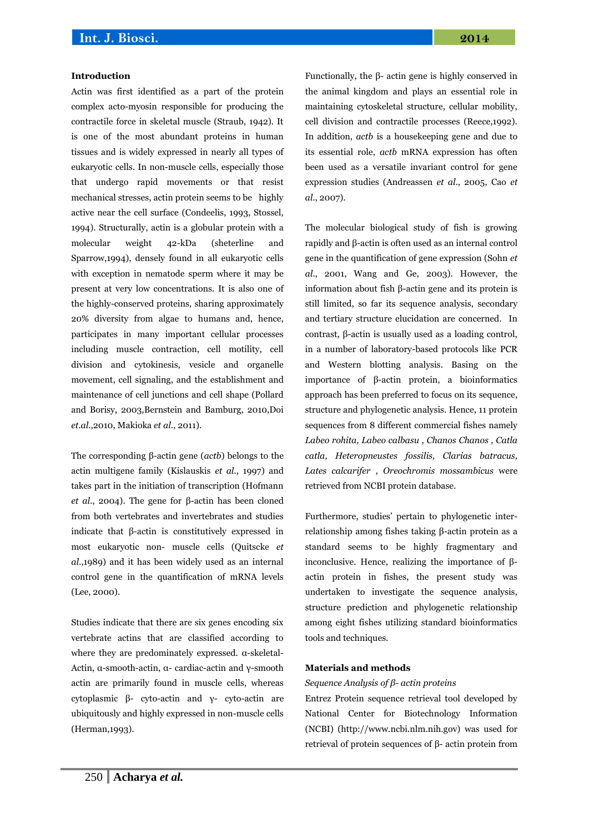#### **Introduction**

Actin was first identified as a part of the protein complex acto-myosin responsible for producing the contractile force in skeletal muscle (Straub, 1942). It is one of the most abundant proteins in human tissues and is widely expressed in nearly all types of eukaryotic cells. In non-muscle cells, especially those that undergo rapid movements or that resist mechanical stresses, actin protein seems to be highly active near the cell surface (Condeelis, 1993, Stossel, 1994). Structurally, actin is a globular protein with a molecular weight 42-kDa (sheterline and Sparrow,1994), densely found in all eukaryotic cells with exception in nematode sperm where it may be present at very low concentrations. It is also one of the highly-conserved proteins, sharing approximately 20% diversity from algae to humans and, hence, participates in many important cellular processes including muscle contraction, cell motility, cell division and cytokinesis, vesicle and organelle movement, cell signaling, and the establishment and maintenance of cell junctions and cell shape (Pollard and Borisy, 2003,Bernstein and Bamburg, 2010,Doi *et.al*.,2010, Makioka *et al*., 2011).

The corresponding β-actin gene (*actb*) belongs to the actin multigene family (Kislauskis *et al*., 1997) and takes part in the initiation of transcription (Hofmann *et al*., 2004). The gene for β-actin has been cloned from both vertebrates and invertebrates and studies indicate that β-actin is constitutively expressed in most eukaryotic non- muscle cells (Quitscke *et al*.,1989) and it has been widely used as an internal control gene in the quantification of mRNA levels (Lee, 2000).

Studies indicate that there are six genes encoding six vertebrate actins that are classified according to where they are predominately expressed. α-skeletal-Actin, α-smooth-actin, α- cardiac-actin and γ-smooth actin are primarily found in muscle cells, whereas cytoplasmic β- cyto-actin and γ- cyto-actin are ubiquitously and highly expressed in non-muscle cells (Herman,1993).

Functionally, the β- actin gene is highly conserved in the animal kingdom and plays an essential role in maintaining cytoskeletal structure, cellular mobility, cell division and contractile processes (Reece,1992). In addition, *actb* is a housekeeping gene and due to its essential role, *actb* mRNA expression has often been used as a versatile invariant control for gene expression studies (Andreassen *et al*., 2005, Cao *et al*., 2007).

The molecular biological study of fish is growing rapidly and β-actin is often used as an internal control gene in the quantification of gene expression (Sohn *et al*., 2001, Wang and Ge, 2003). However, the information about fish β-actin gene and its protein is still limited, so far its sequence analysis, secondary and tertiary structure elucidation are concerned. In contrast, β-actin is usually used as a loading control, in a number of laboratory-based protocols like PCR and Western blotting analysis. Basing on the importance of β-actin protein, a bioinformatics approach has been preferred to focus on its sequence, structure and phylogenetic analysis. Hence, 11 protein sequences from 8 different commercial fishes namely *Labeo rohita, Labeo calbasu* , *Chanos Chanos , Catla catla, Heteropneustes fossilis, Clarias batracus, Lates calcarifer* , *Oreochromis mossambicus* were retrieved from NCBI protein database.

Furthermore, studies' pertain to phylogenetic interrelationship among fishes taking β-actin protein as a standard seems to be highly fragmentary and inconclusive. Hence, realizing the importance of βactin protein in fishes, the present study was undertaken to investigate the sequence analysis, structure prediction and phylogenetic relationship among eight fishes utilizing standard bioinformatics tools and techniques.

#### **Materials and methods**

#### *Sequence Analysis of β- actin proteins*

Entrez Protein sequence retrieval tool developed by National Center for Biotechnology Information (NCBI) (http://www.ncbi.nlm.nih.gov) was used for retrieval of protein sequences of β- actin protein from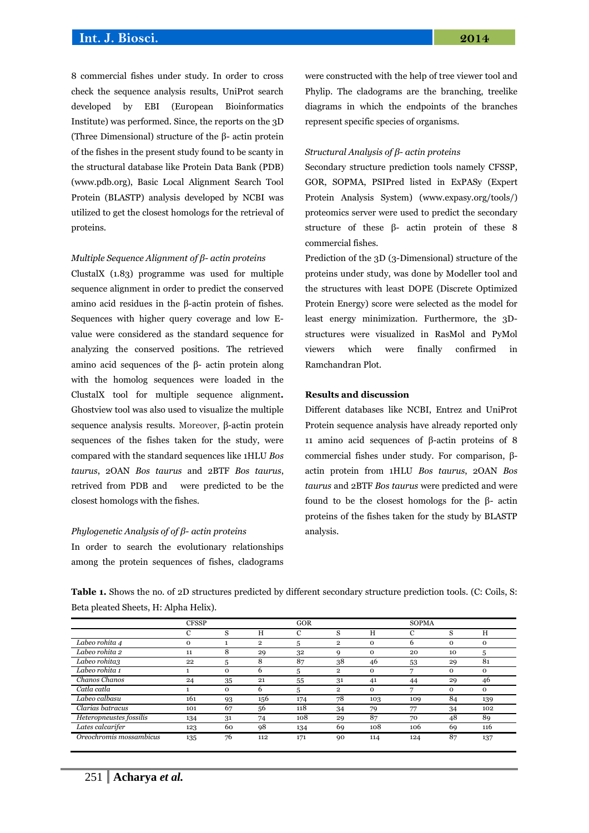# **Int. J. Biosci. 2014**

8 commercial fishes under study. In order to cross check the sequence analysis results, UniProt search developed by EBI (European Bioinformatics Institute) was performed. Since, the reports on the 3D (Three Dimensional) structure of the β- actin protein of the fishes in the present study found to be scanty in the structural database like Protein Data Bank (PDB) (www.pdb.org), Basic Local Alignment Search Tool Protein (BLASTP) analysis developed by NCBI was utilized to get the closest homologs for the retrieval of proteins.

#### *Multiple Sequence Alignment of β- actin proteins*

ClustalX (1.83) programme was used for multiple sequence alignment in order to predict the conserved amino acid residues in the β-actin protein of fishes. Sequences with higher query coverage and low Evalue were considered as the standard sequence for analyzing the conserved positions. The retrieved amino acid sequences of the β- actin protein along with the homolog sequences were loaded in the ClustalX tool for multiple sequence alignment**.**  Ghostview tool was also used to visualize the multiple sequence analysis results. Moreover, β-actin protein sequences of the fishes taken for the study, were compared with the standard sequences like 1HLU *Bos taurus*, 2OAN *Bos taurus* and 2BTF *Bos taurus*, retrived from PDB and were predicted to be the closest homologs with the fishes.

#### *Phylogenetic Analysis of of β- actin proteins*

In order to search the evolutionary relationships among the protein sequences of fishes, cladograms were constructed with the help of tree viewer tool and Phylip. The cladograms are the branching, treelike diagrams in which the endpoints of the branches represent specific species of organisms.

#### *Structural Analysis of β- actin proteins*

Secondary structure prediction tools namely CFSSP, GOR, SOPMA, PSIPred listed in ExPASy (Expert Protein Analysis System) [\(www.expasy.org/tools/\)](http://www.expasy.org/tools/) proteomics server were used to predict the secondary structure of these β- actin protein of these 8 commercial fishes.

Prediction of the 3D (3-Dimensional) structure of the proteins under study, was done by Modeller tool and the structures with least DOPE (Discrete Optimized Protein Energy) score were selected as the model for least energy minimization. Furthermore, the 3Dstructures were visualized in RasMol and PyMol viewers which were finally confirmed in Ramchandran Plot.

### **Results and discussion**

Different databases like NCBI, Entrez and UniProt Protein sequence analysis have already reported only 11 amino acid sequences of β-actin proteins of 8 commercial fishes under study. For comparison, βactin protein from 1HLU *Bos taurus*, 2OAN *Bos taurus* and 2BTF *Bos taurus* were predicted and were found to be the closest homologs for the β- actin proteins of the fishes taken for the study by BLASTP analysis.

**Table 1.** Shows the no. of 2D structures predicted by different secondary structure prediction tools. (C: Coils, S: Beta pleated Sheets, H: Alpha Helix).

|                         | <b>CFSSP</b> |             |                | GOR |                |             | <b>SOPMA</b> |              |          |  |
|-------------------------|--------------|-------------|----------------|-----|----------------|-------------|--------------|--------------|----------|--|
|                         | C            | S           | Η              | С   | s              | Н           | С            | S            | H        |  |
| Labeo rohita 4          | $\Omega$     |             | $\overline{2}$ | 5   | $\overline{2}$ | 0           | 6            | $\mathbf 0$  | $\Omega$ |  |
| Labeo rohita 2          | 11           | 8           | 29             | 32  | q              | $\mathbf 0$ | 20           | 10           | 5        |  |
| Labeo rohita3           | 22           | 5           | 8              | 87  | 38             | 46          | 53           | 29           | 81       |  |
| Labeo rohita 1          |              | $\mathbf 0$ | 6              | 5   | $\overline{2}$ | 0           |              | $\mathbf 0$  | $\Omega$ |  |
| Chanos Chanos           | 24           | 35          | 21             | 55  | 31             | 41          | 44           | 29           | 46       |  |
| Catla catla             |              | 0           | 6              | 5   | $\overline{2}$ | $\mathbf 0$ |              | $\mathbf{O}$ | $\Omega$ |  |
| Labeo calbasu           | 161          | 93          | 156            | 174 | 78             | 103         | 109          | 84           | 139      |  |
| Clarias batracus        | 101          | 67          | 56             | 118 | 34             | 79          | 77           | 34           | 102      |  |
| Heteropneustes fossilis | 134          | 31          | 74             | 108 | 29             | 87          | 70           | 48           | 89       |  |
| Lates calcarifer        | 123          | 60          | 98             | 134 | 69             | 108         | 106          | 69           | 116      |  |
| Oreochromis mossambicus | 135          | 76          | 112            | 171 | 90             | 114         | 124          | 87           | 137      |  |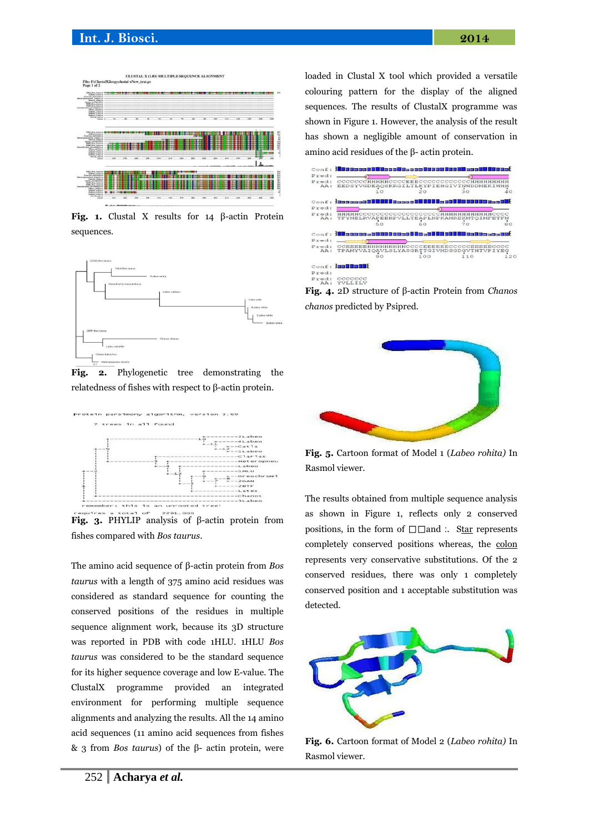

**Fig. 1.** Clustal X results for 14 β-actin Protein sequences.



**Fig. 2.** Phylogenetic tree demonstrating the relatedness of fishes with respect to β-actin protein.



**Fig. 3.** PHYLIP analysis of β-actin protein from fishes compared with *Bos taurus*.

The amino acid sequence of β-actin protein from *Bos taurus* with a length of 375 amino acid residues was considered as standard sequence for counting the conserved positions of the residues in multiple sequence alignment work, because its 3D structure was reported in PDB with code 1HLU. 1HLU *Bos taurus* was considered to be the standard sequence for its higher sequence coverage and low E-value. The ClustalX programme provided an integrated environment for performing multiple sequence alignments and analyzing the results. All the 14 amino acid sequences (11 amino acid sequences from fishes & 3 from *Bos taurus*) of the β- actin protein, were loaded in Clustal X tool which provided a versatile colouring pattern for the display of the aligned sequences. The results of ClustalX programme was shown in Figure 1. However, the analysis of the result has shown a negligible amount of conservation in amino acid residues of the β- actin protein.



**Fig. 4.** 2D structure of β-actin Protein from *Chanos chanos* predicted by Psipred.



**Fig. 5.** Cartoon format of Model 1 (*Labeo rohita)* In Rasmol viewer.

The results obtained from multiple sequence analysis as shown in Figure 1, reflects only 2 conserved positions, in the form of  $\square \square$  and :. Star represents completely conserved positions whereas, the colon represents very conservative substitutions. Of the 2 conserved residues, there was only 1 completely conserved position and 1 acceptable substitution was detected.



**Fig. 6.** Cartoon format of Model 2 (*Labeo rohita)* In Rasmol viewer.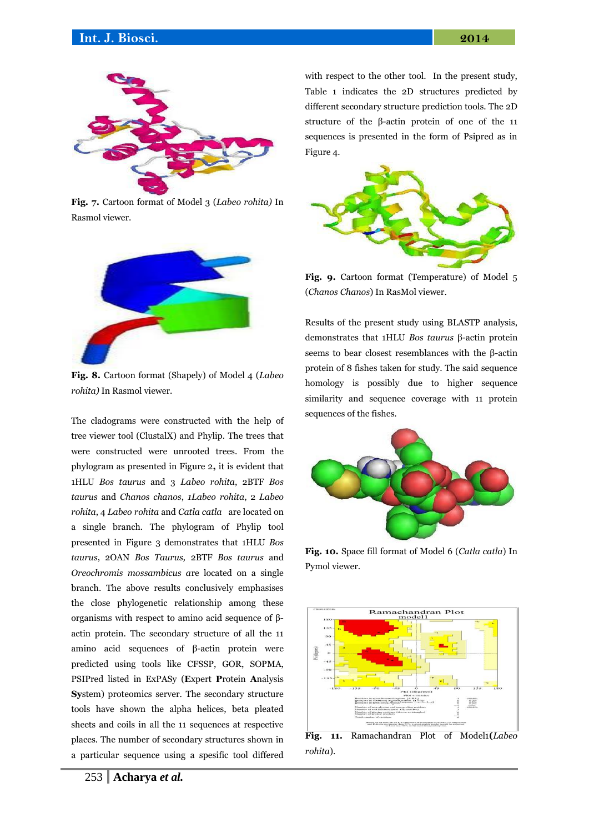

**Fig. 7.** Cartoon format of Model 3 (*Labeo rohita)* In Rasmol viewer.



**Fig. 8.** Cartoon format (Shapely) of Model 4 (*Labeo rohita)* In Rasmol viewer.

The cladograms were constructed with the help of tree viewer tool (ClustalX) and Phylip. The trees that were constructed were unrooted trees. From the phylogram as presented in Figure 2**,** it is evident that 1HLU *Bos taurus* and 3 *Labeo rohita*, 2BTF *Bos taurus* and *Chanos chanos*, *1Labeo rohita*, 2 *Labeo rohita*, 4 *Labeo rohita* and *Catla catla* are located on a single branch. The phylogram of Phylip tool presented in Figure 3 demonstrates that 1HLU *Bos taurus*, 2OAN *Bos Taurus,* 2BTF *Bos taurus* and *Oreochromis mossambicus a*re located on a single branch. The above results conclusively emphasises the close phylogenetic relationship among these organisms with respect to amino acid sequence of βactin protein. The secondary structure of all the 11 amino acid sequences of β-actin protein were predicted using tools like CFSSP, GOR, SOPMA, PSIPred listed in ExPASy (**E**xpert **P**rotein **A**nalysis **Sy**stem) proteomics server. The secondary structure tools have shown the alpha helices, beta pleated sheets and coils in all the 11 sequences at respective places. The number of secondary structures shown in a particular sequence using a spesific tool differed with respect to the other tool. In the present study, Table 1 indicates the 2D structures predicted by different secondary structure prediction tools. The 2D structure of the β-actin protein of one of the 11 sequences is presented in the form of Psipred as in Figure 4.



**Fig. 9.** Cartoon format (Temperature) of Model 5 (*Chanos Chanos*) In RasMol viewer.

Results of the present study using BLASTP analysis, demonstrates that 1HLU *Bos taurus* β-actin protein seems to bear closest resemblances with the β-actin protein of 8 fishes taken for study. The said sequence homology is possibly due to higher sequence similarity and sequence coverage with 11 protein sequences of the fishes.



**Fig. 10.** Space fill format of Model 6 (*Catla catla*) In Pymol viewer.



**Fig. 11.** Ramachandran Plot of Model1**(***Labeo rohita*).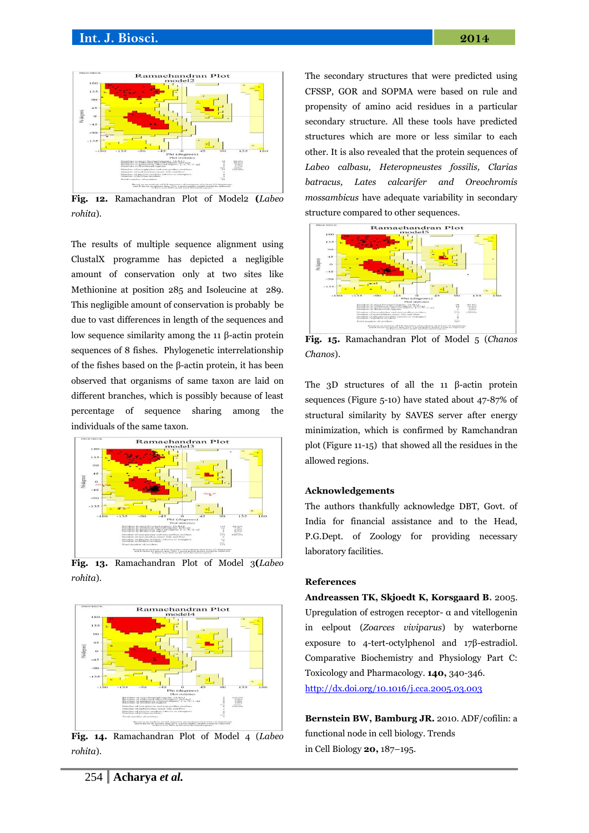

**Fig. 12.** Ramachandran Plot of Model2 **(***Labeo rohita*).

The results of multiple sequence alignment using ClustalX programme has depicted a negligible amount of conservation only at two sites like Methionine at position 285 and Isoleucine at 289. This negligible amount of conservation is probably be due to vast differences in length of the sequences and low sequence similarity among the 11 β-actin protein sequences of 8 fishes. Phylogenetic interrelationship of the fishes based on the β-actin protein, it has been observed that organisms of same taxon are laid on different branches, which is possibly because of least percentage of sequence sharing among the individuals of the same taxon.



**Fig. 13.** Ramachandran Plot of Model 3**(***Labeo rohita*).



**Fig. 14.** Ramachandran Plot of Model 4 (*Labeo rohita*).

The secondary structures that were predicted using CFSSP, GOR and SOPMA were based on rule and propensity of amino acid residues in a particular secondary structure. All these tools have predicted structures which are more or less similar to each other. It is also revealed that the protein sequences of *Labeo calbasu, Heteropneustes fossilis, Clarias batracus, Lates calcarifer and Oreochromis mossambicus* have adequate variability in secondary structure compared to other sequences.



**Fig. 15.** Ramachandran Plot of Model 5 (*Chanos Chanos*).

The 3D structures of all the 11 β-actin protein sequences (Figure 5-10) have stated about 47-87% of structural similarity by SAVES server after energy minimization, which is confirmed by Ramchandran plot (Figure 11-15) that showed all the residues in the allowed regions.

#### **Acknowledgements**

The authors thankfully acknowledge DBT, Govt. of India for financial assistance and to the Head, P.G.Dept. of Zoology for providing necessary laboratory facilities.

#### **References**

**Andreassen TK, Skjoedt K, Korsgaard B.** 2005. Upregulation of estrogen receptor- $\alpha$  and vitellogenin in eelpout (*Zoarces viviparus*) by waterborne exposure to 4-tert-octylphenol and 17β-estradiol. Comparative Biochemistry and Physiology Part C: Toxicology and Pharmacology. **140,** 340-346. <http://dx.doi.org/10.1016/j.cca.2005.03.003>

**Bernstein BW, Bamburg JR.** 2010. ADF/cofilin: a functional node in cell biology. Trends in Cell Biology **20,** 187–195.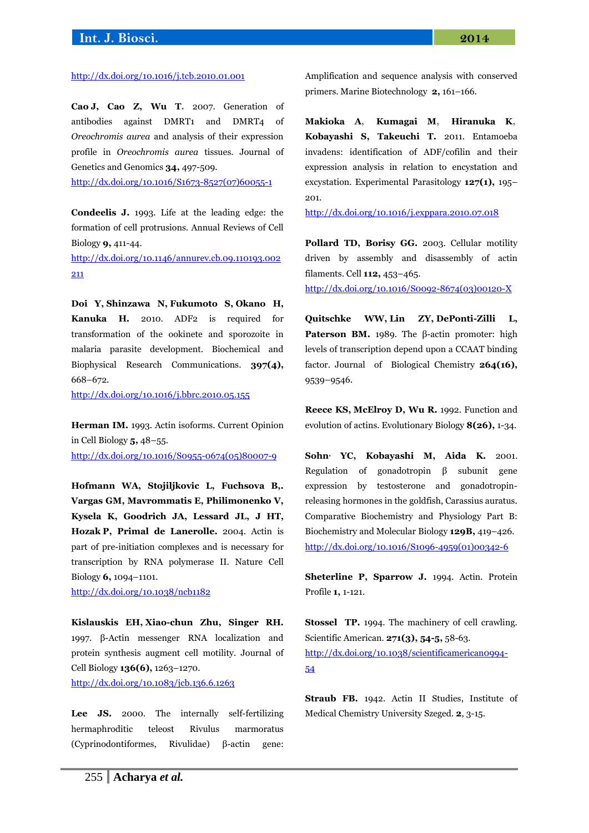# **Int. J. Biosci. 2014**

#### <http://dx.doi.org/10.1016/j.tcb.2010.01.001>

**Cao J, Cao Z, Wu T.** 2007. Generation of antibodies against DMRT1 and DMRT4 of *Oreochromis aurea* and analysis of their expression profile in *Oreochromis aurea* tissues. Journal of Genetics and Genomics **34,** 497-509.

[http://dx.doi.org/10.1016/S1673-8527\(07\)60055-1](http://dx.doi.org/10.1016/S1673-8527%2807%2960055-1)

**Condeelis J.** 1993. Life at the leading edge: the formation of cell protrusions. Annual Reviews of Cell Biology **9,** 411-44. [http://dx.doi.org/10.1146/annurev.cb.09.110193.002](http://dx.doi.org/10.1146/annurev.cb.09.110193.002211)

[211](http://dx.doi.org/10.1146/annurev.cb.09.110193.002211)

**Doi Y, Shinzawa N, Fukumoto S, Okano H, Kanuka H***.* 2010. ADF2 is required for transformation of the ookinete and sporozoite in malaria parasite development. Biochemical and Biophysical Research Communications. **397(4),** 668–672.

<http://dx.doi.org/10.1016/j.bbrc.2010.05.155>

**Herman IM.** 1993. Actin isoforms. Current Opinion in Cell Biology **5,** 48–55. [http://dx.doi.org/10.1016/S0955-0674\(05\)80007-9](http://dx.doi.org/10.1016/S0955-0674%2805%2980007-9)

**Hofmann WA, Stojiljkovic L, Fuchsova B,. Vargas GM, Mavrommatis E, Philimonenko V, Kysela K, Goodrich JA, Lessard JL, J HT, Hozak P, Primal de Lanerolle.** 2004. Actin is part of pre-initiation complexes and is necessary for transcription by RNA polymerase II. Nature Cell Biology **6,** 1094–1101.

<http://dx.doi.org/10.1038/ncb1182>

**Kislauskis EH, Xiao-chun Zhu, Singer RH***.* 1997. β-Actin messenger RNA localization and protein synthesis augment cell motility. Journal of Cell Biology **136(6),** 1263–1270. <http://dx.doi.org/10.1083/jcb.136.6.1263>

Lee JS. 2000. The internally self-fertilizing hermaphroditic teleost Rivulus marmoratus (Cyprinodontiformes, Rivulidae) β-actin gene: Amplification and sequence analysis with conserved primers. Marine Biotechnology **2,** 161–166.

**Makioka A, Kumagai M, Hiranuka K, Kobayashi S, Takeuchi T.** 2011. Entamoeba invadens: identification of ADF/cofilin and their expression analysis in relation to encystation and excystation. Experimental Parasitology **127(1),** 195– 201.

<http://dx.doi.org/10.1016/j.exppara.2010.07.018>

**Pollard TD, Borisy GG.** 2003. Cellular motility driven by assembly and disassembly of actin filaments. Cell **112,** 453–465.

[http://dx.doi.org/10.1016/S0092-8674\(03\)00120-X](http://dx.doi.org/10.1016/S0092-8674%2803%2900120-X)

**Quitschke WW, Lin ZY, DePonti-Zilli L, Paterson BM.** 1989. The β-actin promoter: high levels of transcription depend upon a CCAAT binding factor. Journal of Biological Chemistry **264(16),** 9539–9546.

**Reece KS, McElroy D, Wu R.** 1992. Function and evolution of actins. Evolutionary Biology **8(26),** 1-34.

**Sohn, YC, Kobayashi M, Aida K***.* 2001. Regulation of gonadotropin β subunit gene expression by testosterone and gonadotropinreleasing hormones in the goldfish, Carassius auratus. Comparative Biochemistry and Physiology Part B: Biochemistry and Molecular Biology **129B,** 419–426. [http://dx.doi.org/10.1016/S1096-4959\(01\)00342-6](http://dx.doi.org/10.1016/S1096-4959%2801%2900342-6)

**Sheterline P, Sparrow J.** 1994. Actin. Protein Profile **1,** 1-121.

**Stossel TP.** 1994. The machinery of cell crawling. Scientific American*.* **271(3), 54-5,** 58-63. [http://dx.doi.org/10.1038/scientificamerican0994-](http://dx.doi.org/10.1038/scientificamerican0994-54) [54](http://dx.doi.org/10.1038/scientificamerican0994-54)

**Straub FB.** 1942. Actin II Studies, Institute of Medical Chemistry University Szeged*.* **2**, 3-15.